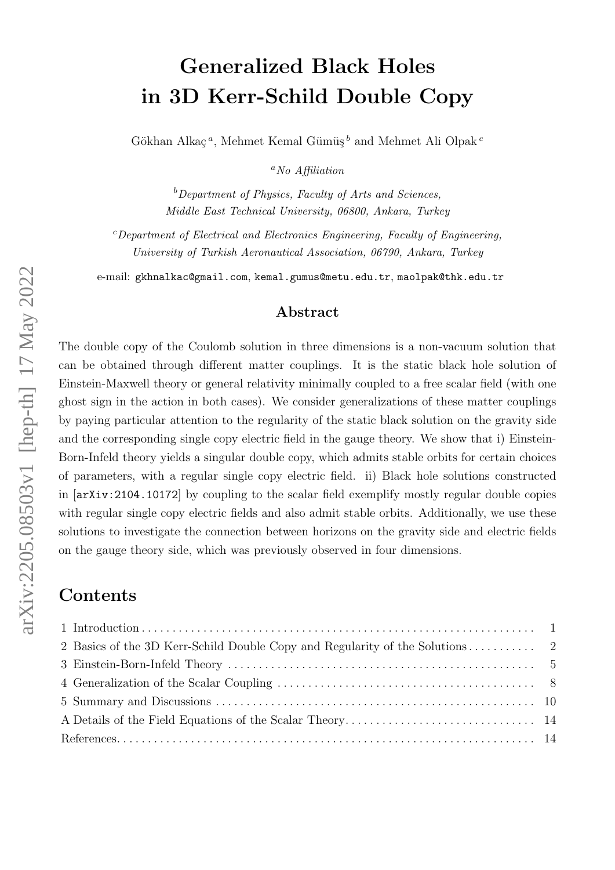# Generalized Black Holes in 3D Kerr-Schild Double Copy

Gökhan Alkaç<sup>a</sup>, Mehmet Kemal Gümüş<sup>b</sup> and Mehmet Ali Olpak<sup>c</sup>

 ${}^a$ No Affiliation

 $b$ Department of Physics, Faculty of Arts and Sciences. Middle East Technical University, 06800, Ankara, Turkey

 $c$ Department of Electrical and Electronics Engineering, Faculty of Engineering, University of Turkish Aeronautical Association, 06790, Ankara, Turkey

e-mail: [gkhnalkac@gmail.com](mailto:gkhnalkac@gmail.com), [kemal.gumus@metu.edu.tr](mailto:kemal.gumus@metu.edu.tr), [maolpak@thk.edu.tr](mailto:maolpak@thk.edu.tr )

#### Abstract

The double copy of the Coulomb solution in three dimensions is a non-vacuum solution that can be obtained through different matter couplings. It is the static black hole solution of Einstein-Maxwell theory or general relativity minimally coupled to a free scalar field (with one ghost sign in the action in both cases). We consider generalizations of these matter couplings by paying particular attention to the regularity of the static black solution on the gravity side and the corresponding single copy electric field in the gauge theory. We show that i) Einstein-Born-Infeld theory yields a singular double copy, which admits stable orbits for certain choices of parameters, with a regular single copy electric field. ii) Black hole solutions constructed in [[arXiv:2104.10172](http://arxiv.org/abs/2104.10172)] by coupling to the scalar field exemplify mostly regular double copies with regular single copy electric fields and also admit stable orbits. Additionally, we use these solutions to investigate the connection between horizons on the gravity side and electric fields on the gauge theory side, which was previously observed in four dimensions.

### Contents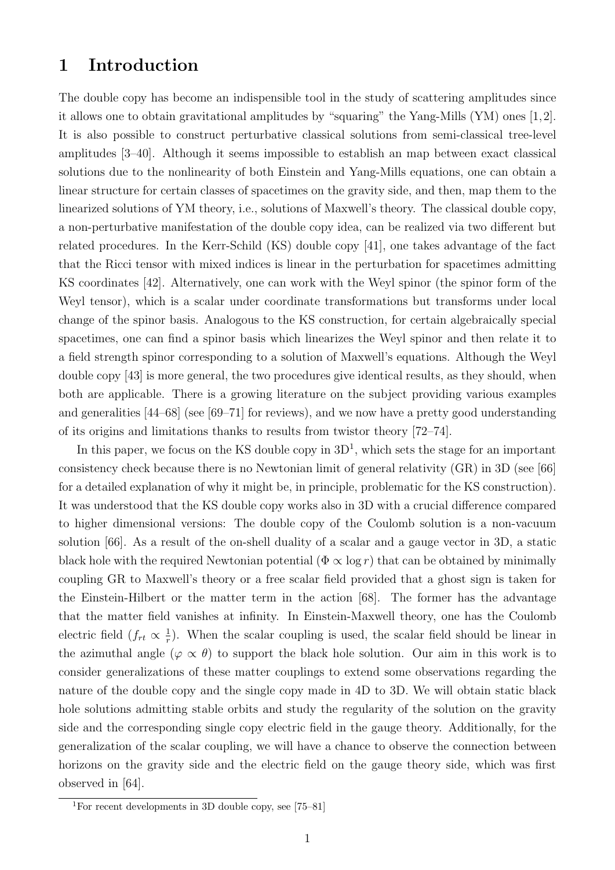#### <span id="page-1-0"></span>1 Introduction

The double copy has become an indispensible tool in the study of scattering amplitudes since it allows one to obtain gravitational amplitudes by "squaring" the Yang-Mills (YM) ones [\[1,](#page-14-2)[2\]](#page-14-3). It is also possible to construct perturbative classical solutions from semi-classical tree-level amplitudes [\[3](#page-14-4)[–40\]](#page-17-0). Although it seems impossible to establish an map between exact classical solutions due to the nonlinearity of both Einstein and Yang-Mills equations, one can obtain a linear structure for certain classes of spacetimes on the gravity side, and then, map them to the linearized solutions of YM theory, i.e., solutions of Maxwell's theory. The classical double copy, a non-perturbative manifestation of the double copy idea, can be realized via two different but related procedures. In the Kerr-Schild (KS) double copy [\[41\]](#page-17-1), one takes advantage of the fact that the Ricci tensor with mixed indices is linear in the perturbation for spacetimes admitting KS coordinates [\[42\]](#page-17-2). Alternatively, one can work with the Weyl spinor (the spinor form of the Weyl tensor), which is a scalar under coordinate transformations but transforms under local change of the spinor basis. Analogous to the KS construction, for certain algebraically special spacetimes, one can find a spinor basis which linearizes the Weyl spinor and then relate it to a field strength spinor corresponding to a solution of Maxwell's equations. Although the Weyl double copy [\[43\]](#page-17-3) is more general, the two procedures give identical results, as they should, when both are applicable. There is a growing literature on the subject providing various examples and generalities [\[44](#page-17-4)[–68\]](#page-18-0) (see [\[69–](#page-18-1)[71\]](#page-18-2) for reviews), and we now have a pretty good understanding of its origins and limitations thanks to results from twistor theory [\[72–](#page-18-3)[74\]](#page-18-4).

In this paper, we focus on the KS double copy in  $3D<sup>1</sup>$  $3D<sup>1</sup>$  $3D<sup>1</sup>$ , which sets the stage for an important consistency check because there is no Newtonian limit of general relativity (GR) in 3D (see [\[66\]](#page-18-5) for a detailed explanation of why it might be, in principle, problematic for the KS construction). It was understood that the KS double copy works also in 3D with a crucial difference compared to higher dimensional versions: The double copy of the Coulomb solution is a non-vacuum solution [\[66\]](#page-18-5). As a result of the on-shell duality of a scalar and a gauge vector in 3D, a static black hole with the required Newtonian potential  $(\Phi \propto \log r)$  that can be obtained by minimally coupling GR to Maxwell's theory or a free scalar field provided that a ghost sign is taken for the Einstein-Hilbert or the matter term in the action [\[68\]](#page-18-0). The former has the advantage that the matter field vanishes at infinity. In Einstein-Maxwell theory, one has the Coulomb electric field  $(f_{rt} \propto \frac{1}{r})$  $\frac{1}{r}$ ). When the scalar coupling is used, the scalar field should be linear in the azimuthal angle  $(\varphi \propto \theta)$  to support the black hole solution. Our aim in this work is to consider generalizations of these matter couplings to extend some observations regarding the nature of the double copy and the single copy made in 4D to 3D. We will obtain static black hole solutions admitting stable orbits and study the regularity of the solution on the gravity side and the corresponding single copy electric field in the gauge theory. Additionally, for the generalization of the scalar coupling, we will have a chance to observe the connection between horizons on the gravity side and the electric field on the gauge theory side, which was first observed in [\[64\]](#page-18-6).

<span id="page-1-1"></span><sup>1</sup>For recent developments in 3D double copy, see [\[75–](#page-18-7)[81\]](#page-19-0)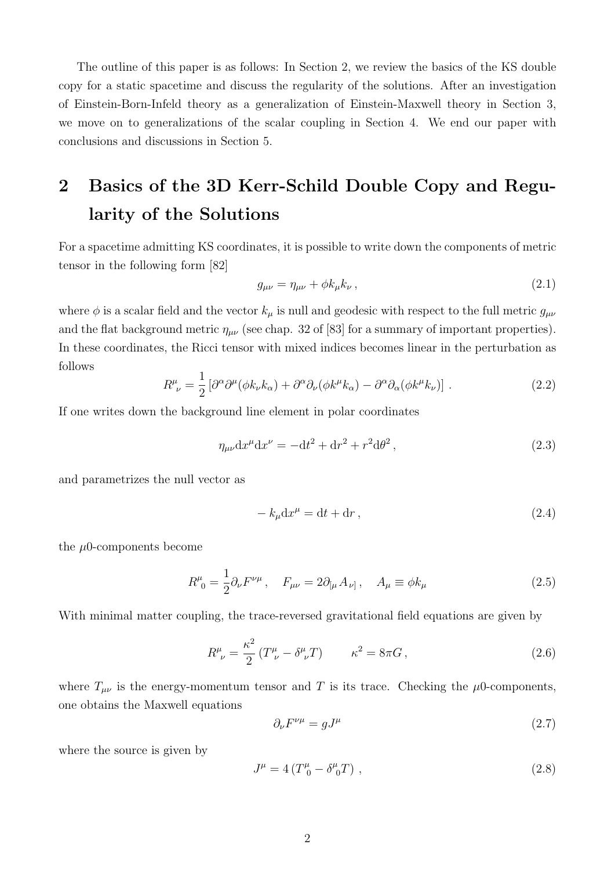The outline of this paper is as follows: In Section [2,](#page-2-0) we review the basics of the KS double copy for a static spacetime and discuss the regularity of the solutions. After an investigation of Einstein-Born-Infeld theory as a generalization of Einstein-Maxwell theory in Section [3,](#page-5-0) we move on to generalizations of the scalar coupling in Section [4.](#page-8-0) We end our paper with conclusions and discussions in Section [5.](#page-10-0)

## <span id="page-2-0"></span>2 Basics of the 3D Kerr-Schild Double Copy and Regularity of the Solutions

For a spacetime admitting KS coordinates, it is possible to write down the components of metric tensor in the following form [\[82\]](#page-19-1)

<span id="page-2-1"></span>
$$
g_{\mu\nu} = \eta_{\mu\nu} + \phi k_{\mu} k_{\nu} \,, \tag{2.1}
$$

where  $\phi$  is a scalar field and the vector  $k_{\mu}$  is null and geodesic with respect to the full metric  $g_{\mu\nu}$ and the flat background metric  $\eta_{\mu\nu}$  (see chap. 32 of [\[83\]](#page-19-2) for a summary of important properties). In these coordinates, the Ricci tensor with mixed indices becomes linear in the perturbation as follows

$$
R^{\mu}_{\ \nu} = \frac{1}{2} \left[ \partial^{\alpha} \partial^{\mu} (\phi k_{\nu} k_{\alpha}) + \partial^{\alpha} \partial_{\nu} (\phi k^{\mu} k_{\alpha}) - \partial^{\alpha} \partial_{\alpha} (\phi k^{\mu} k_{\nu}) \right]. \tag{2.2}
$$

If one writes down the background line element in polar coordinates

$$
\eta_{\mu\nu} dx^{\mu} dx^{\nu} = -dt^2 + dr^2 + r^2 d\theta^2, \qquad (2.3)
$$

and parametrizes the null vector as

$$
-k_{\mu}dx^{\mu} = dt + dr,
$$
\n(2.4)

the  $\mu$ 0-components become

$$
R^{\mu}_{0} = \frac{1}{2} \partial_{\nu} F^{\nu \mu} , \quad F_{\mu \nu} = 2 \partial_{[\mu} A_{\nu]} , \quad A_{\mu} \equiv \phi k_{\mu}
$$
 (2.5)

With minimal matter coupling, the trace-reversed gravitational field equations are given by

$$
R^{\mu}_{\ \nu} = \frac{\kappa^2}{2} \left( T^{\mu}_{\ \nu} - \delta^{\mu}_{\ \nu} T \right) \qquad \kappa^2 = 8\pi G \,, \tag{2.6}
$$

where  $T_{\mu\nu}$  is the energy-momentum tensor and T is its trace. Checking the  $\mu$ 0-components, one obtains the Maxwell equations

$$
\partial_{\nu}F^{\nu\mu} = gJ^{\mu} \tag{2.7}
$$

where the source is given by

$$
J^{\mu} = 4(T^{\mu}_{0} - \delta^{\mu}_{0}T) , \qquad (2.8)
$$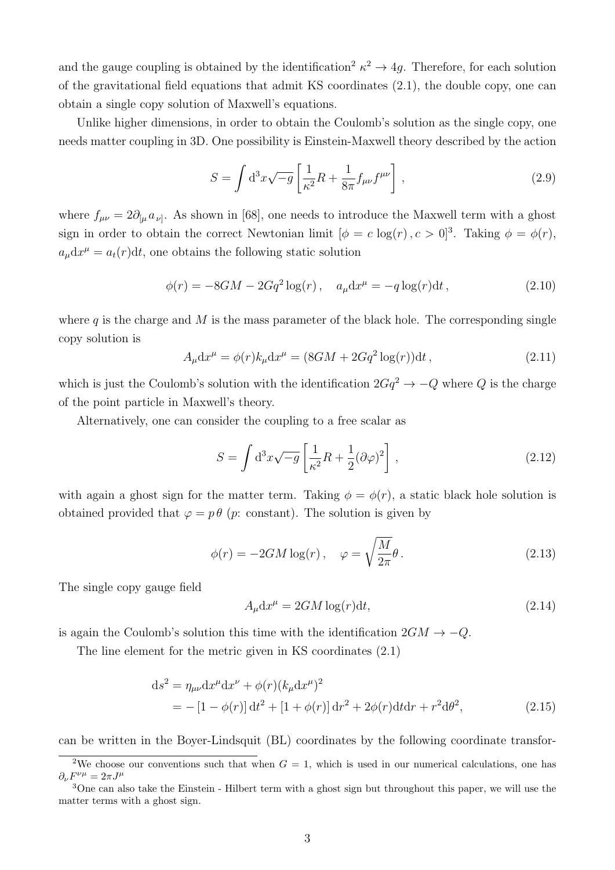and the gauge coupling is obtained by the identification<sup>[2](#page-3-0)</sup>  $\kappa^2 \rightarrow 4g$ . Therefore, for each solution of the gravitational field equations that admit KS coordinates [\(2.1\)](#page-2-1), the double copy, one can obtain a single copy solution of Maxwell's equations.

Unlike higher dimensions, in order to obtain the Coulomb's solution as the single copy, one needs matter coupling in 3D. One possibility is Einstein-Maxwell theory described by the action

$$
S = \int d^3x \sqrt{-g} \left[ \frac{1}{\kappa^2} R + \frac{1}{8\pi} f_{\mu\nu} f^{\mu\nu} \right], \qquad (2.9)
$$

where  $f_{\mu\nu} = 2\partial_{[\mu} a_{\nu]}$ . As shown in [\[68\]](#page-18-0), one needs to introduce the Maxwell term with a ghost sign in order to obtain the correct Newtonian limit  $[\phi = c \log(r), c > 0]^3$  $[\phi = c \log(r), c > 0]^3$ . Taking  $\phi = \phi(r)$ ,  $a_{\mu}dx^{\mu} = a_t(r)dt$ , one obtains the following static solution

<span id="page-3-3"></span>
$$
\phi(r) = -8GM - 2Gq^2 \log(r), \quad a_{\mu} dx^{\mu} = -q \log(r) dt,
$$
\n(2.10)

where  $q$  is the charge and M is the mass parameter of the black hole. The corresponding single copy solution is

$$
A_{\mu}dx^{\mu} = \phi(r)k_{\mu}dx^{\mu} = (8GM + 2Gq^{2}\log(r))dt,
$$
\n(2.11)

which is just the Coulomb's solution with the identification  $2Gq^2 \rightarrow -Q$  where Q is the charge of the point particle in Maxwell's theory.

Alternatively, one can consider the coupling to a free scalar as

$$
S = \int d^3x \sqrt{-g} \left[ \frac{1}{\kappa^2} R + \frac{1}{2} (\partial \varphi)^2 \right], \qquad (2.12)
$$

with again a ghost sign for the matter term. Taking  $\phi = \phi(r)$ , a static black hole solution is obtained provided that  $\varphi = p \theta$  (*p*: constant). The solution is given by

$$
\phi(r) = -2GM \log(r), \quad \varphi = \sqrt{\frac{M}{2\pi}}\theta. \tag{2.13}
$$

The single copy gauge field

<span id="page-3-2"></span>
$$
A_{\mu} dx^{\mu} = 2GM \log(r) dt, \qquad (2.14)
$$

is again the Coulomb's solution this time with the identification  $2GM \rightarrow -Q$ .

The line element for the metric given in KS coordinates [\(2.1\)](#page-2-1)

$$
ds^{2} = \eta_{\mu\nu} dx^{\mu} dx^{\nu} + \phi(r) (k_{\mu} dx^{\mu})^{2}
$$
  
= -[1 - \phi(r)] dt^{2} + [1 + \phi(r)] dr^{2} + 2\phi(r) dt dr + r^{2} d\theta^{2}, (2.15)

can be written in the Boyer-Lindsquit (BL) coordinates by the following coordinate transfor-

<span id="page-3-0"></span><sup>&</sup>lt;sup>2</sup>We choose our conventions such that when  $G = 1$ , which is used in our numerical calculations, one has  $\partial_{\nu}F^{\nu\mu}=2\pi J^{\mu}$ 

<span id="page-3-1"></span><sup>3</sup>One can also take the Einstein - Hilbert term with a ghost sign but throughout this paper, we will use the matter terms with a ghost sign.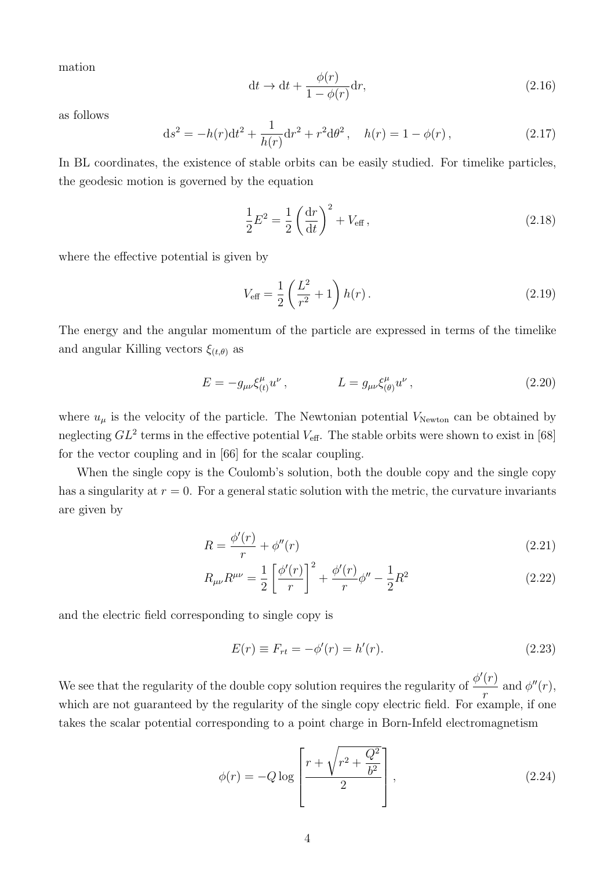mation

$$
dt \to dt + \frac{\phi(r)}{1 - \phi(r)} dr,
$$
\n(2.16)

as follows

<span id="page-4-0"></span>
$$
ds^{2} = -h(r)dt^{2} + \frac{1}{h(r)}dr^{2} + r^{2}d\theta^{2}, \quad h(r) = 1 - \phi(r), \qquad (2.17)
$$

In BL coordinates, the existence of stable orbits can be easily studied. For timelike particles, the geodesic motion is governed by the equation

$$
\frac{1}{2}E^2 = \frac{1}{2}\left(\frac{dr}{dt}\right)^2 + V_{\text{eff}},
$$
\n(2.18)

where the effective potential is given by

$$
V_{\text{eff}} = \frac{1}{2} \left( \frac{L^2}{r^2} + 1 \right) h(r) \,. \tag{2.19}
$$

The energy and the angular momentum of the particle are expressed in terms of the timelike and angular Killing vectors  $\xi_{(t,\theta)}$  as

$$
E = -g_{\mu\nu}\xi_{(t)}^{\mu}u^{\nu}, \qquad L = g_{\mu\nu}\xi_{(\theta)}^{\mu}u^{\nu}, \qquad (2.20)
$$

where  $u_{\mu}$  is the velocity of the particle. The Newtonian potential  $V_{Newton}$  can be obtained by neglecting  $GL^2$  terms in the effective potential  $V_{\text{eff}}$ . The stable orbits were shown to exist in [\[68\]](#page-18-0) for the vector coupling and in [\[66\]](#page-18-5) for the scalar coupling.

When the single copy is the Coulomb's solution, both the double copy and the single copy has a singularity at  $r = 0$ . For a general static solution with the metric, the curvature invariants are given by

$$
R = \frac{\phi'(r)}{r} + \phi''(r) \tag{2.21}
$$

$$
R_{\mu\nu}R^{\mu\nu} = \frac{1}{2} \left[ \frac{\phi'(r)}{r} \right]^2 + \frac{\phi'(r)}{r} \phi'' - \frac{1}{2}R^2 \tag{2.22}
$$

and the electric field corresponding to single copy is

<span id="page-4-2"></span><span id="page-4-1"></span>
$$
E(r) \equiv F_{rt} = -\phi'(r) = h'(r).
$$
 (2.23)

We see that the regularity of the double copy solution requires the regularity of  $\frac{\phi'(r)}{r}$ r and  $\phi''(r)$ , which are not guaranteed by the regularity of the single copy electric field. For example, if one takes the scalar potential corresponding to a point charge in Born-Infeld electromagnetism

$$
\phi(r) = -Q \log \left[ \frac{r + \sqrt{r^2 + \frac{Q^2}{b^2}}}{2} \right],
$$
\n(2.24)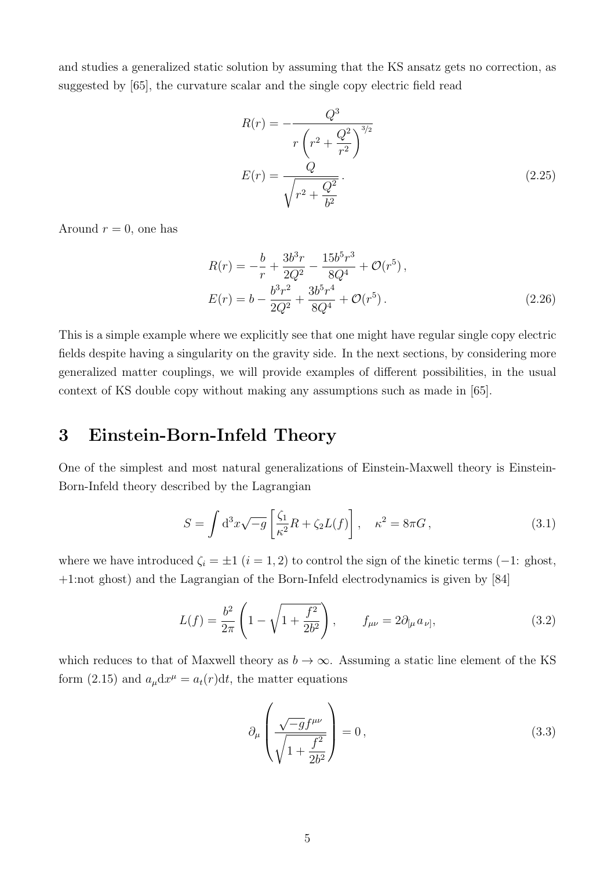and studies a generalized static solution by assuming that the KS ansatz gets no correction, as suggested by [\[65\]](#page-18-8), the curvature scalar and the single copy electric field read

$$
R(r) = -\frac{Q^3}{r\left(r^2 + \frac{Q^2}{r^2}\right)^{3/2}}
$$

$$
E(r) = \frac{Q}{\sqrt{r^2 + \frac{Q^2}{b^2}}}.
$$
(2.25)

Around  $r = 0$ , one has

$$
R(r) = -\frac{b}{r} + \frac{3b^3r}{2Q^2} - \frac{15b^5r^3}{8Q^4} + \mathcal{O}(r^5),
$$
  
\n
$$
E(r) = b - \frac{b^3r^2}{2Q^2} + \frac{3b^5r^4}{8Q^4} + \mathcal{O}(r^5).
$$
\n(2.26)

This is a simple example where we explicitly see that one might have regular single copy electric fields despite having a singularity on the gravity side. In the next sections, by considering more generalized matter couplings, we will provide examples of different possibilities, in the usual context of KS double copy without making any assumptions such as made in [\[65\]](#page-18-8).

#### <span id="page-5-0"></span>3 Einstein-Born-Infeld Theory

One of the simplest and most natural generalizations of Einstein-Maxwell theory is Einstein-Born-Infeld theory described by the Lagrangian

$$
S = \int d^3x \sqrt{-g} \left[ \frac{\zeta_1}{\kappa^2} R + \zeta_2 L(f) \right], \quad \kappa^2 = 8\pi G,
$$
 (3.1)

where we have introduced  $\zeta_i = \pm 1$   $(i = 1, 2)$  to control the sign of the kinetic terms (-1: ghost, +1:not ghost) and the Lagrangian of the Born-Infeld electrodynamics is given by [\[84\]](#page-19-3)

$$
L(f) = \frac{b^2}{2\pi} \left( 1 - \sqrt{1 + \frac{f^2}{2b^2}} \right), \qquad f_{\mu\nu} = 2\partial_{[\mu} a_{\nu]}, \tag{3.2}
$$

which reduces to that of Maxwell theory as  $b \to \infty$ . Assuming a static line element of the KS form [\(2.15\)](#page-3-2) and  $a_{\mu}dx^{\mu} = a_t(r)dt$ , the matter equations

$$
\partial_{\mu} \left( \frac{\sqrt{-g} f^{\mu \nu}}{\sqrt{1 + \frac{f^2}{2b^2}}} \right) = 0, \qquad (3.3)
$$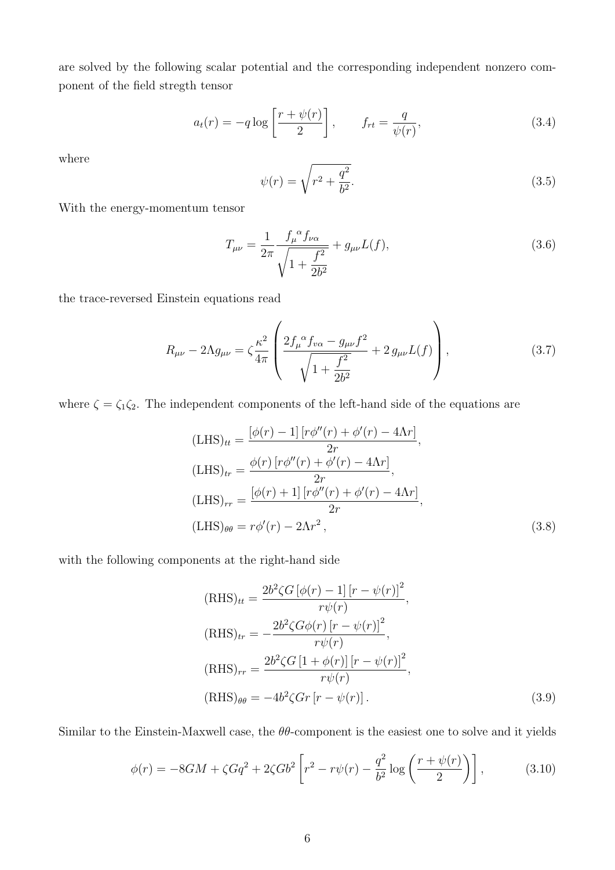are solved by the following scalar potential and the corresponding independent nonzero component of the field stregth tensor

$$
a_t(r) = -q \log \left[ \frac{r + \psi(r)}{2} \right], \qquad f_{rt} = \frac{q}{\psi(r)}, \tag{3.4}
$$

where

$$
\psi(r) = \sqrt{r^2 + \frac{q^2}{b^2}}.\tag{3.5}
$$

With the energy-momentum tensor

$$
T_{\mu\nu} = \frac{1}{2\pi} \frac{f_{\mu}^{\alpha} f_{\nu\alpha}}{\sqrt{1 + \frac{f^2}{2b^2}}} + g_{\mu\nu} L(f), \qquad (3.6)
$$

the trace-reversed Einstein equations read

$$
R_{\mu\nu} - 2\Lambda g_{\mu\nu} = \zeta \frac{\kappa^2}{4\pi} \left( \frac{2f_{\mu}^{\alpha} f_{\nu\alpha} - g_{\mu\nu}f^2}{\sqrt{1 + \frac{f^2}{2b^2}}} + 2 g_{\mu\nu} L(f) \right), \tag{3.7}
$$

where  $\zeta = \zeta_1 \zeta_2$ . The independent components of the left-hand side of the equations are

$$
\begin{aligned} \n(\text{LHS})_{tt} &= \frac{\left[\phi(r) - 1\right]\left[r\phi''(r) + \phi'(r) - 4\Lambda r\right]}{2r},\\ \n(\text{LHS})_{tr} &= \frac{\phi(r)\left[r\phi''(r) + \phi'(r) - 4\Lambda r\right]}{2r},\\ \n(\text{LHS})_{rr} &= \frac{\left[\phi(r) + 1\right]\left[r\phi''(r) + \phi'(r) - 4\Lambda r\right]}{2r},\\ \n(\text{LHS})_{\theta\theta} &= r\phi'(r) - 2\Lambda r^2, \n\end{aligned} \tag{3.8}
$$

with the following components at the right-hand side

$$
(\text{RHS})_{tt} = \frac{2b^2 \zeta G \left[\phi(r) - 1\right] \left[r - \psi(r)\right]^2}{r\psi(r)},
$$
\n
$$
(\text{RHS})_{tr} = -\frac{2b^2 \zeta G \phi(r) \left[r - \psi(r)\right]^2}{r\psi(r)},
$$
\n
$$
(\text{RHS})_{rr} = \frac{2b^2 \zeta G \left[1 + \phi(r)\right] \left[r - \psi(r)\right]^2}{r\psi(r)},
$$
\n
$$
(\text{RHS})_{\theta\theta} = -4b^2 \zeta G r \left[r - \psi(r)\right].
$$
\n(3.9)

Similar to the Einstein-Maxwell case, the  $\theta\theta$ -component is the easiest one to solve and it yields

$$
\phi(r) = -8GM + \zeta Gq^2 + 2\zeta Gb^2 \left[ r^2 - r\psi(r) - \frac{q^2}{b^2} \log\left(\frac{r+\psi(r)}{2}\right) \right],\tag{3.10}
$$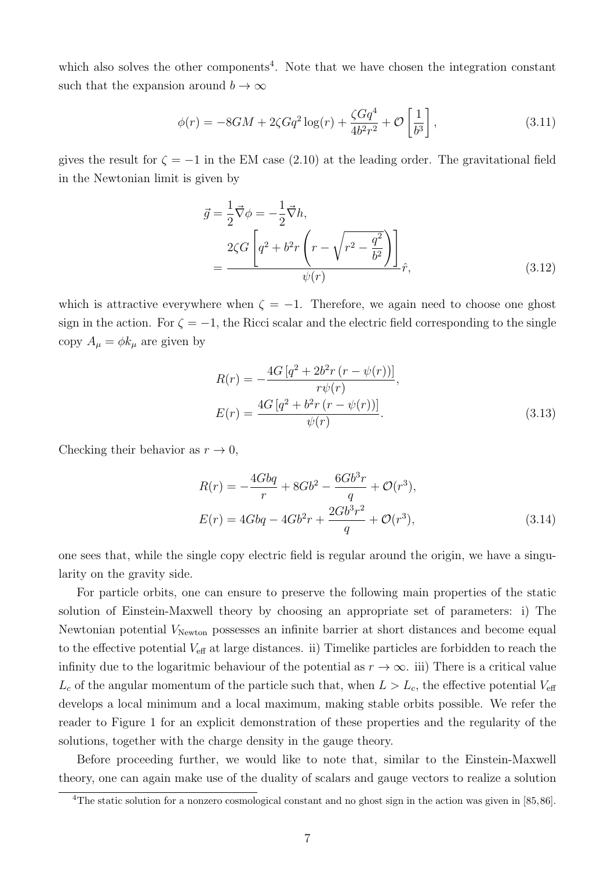which also solves the other components<sup>[4](#page-7-0)</sup>. Note that we have chosen the integration constant such that the expansion around  $b \to \infty$ 

$$
\phi(r) = -8GM + 2\zeta Gq^2 \log(r) + \frac{\zeta Gq^4}{4b^2r^2} + \mathcal{O}\left[\frac{1}{b^3}\right],\tag{3.11}
$$

gives the result for  $\zeta = -1$  in the EM case [\(2.10\)](#page-3-3) at the leading order. The gravitational field in the Newtonian limit is given by

$$
\vec{g} = \frac{1}{2}\vec{\nabla}\phi = -\frac{1}{2}\vec{\nabla}h,
$$
\n
$$
= \frac{2\zeta G \left[q^2 + b^2r\left(r - \sqrt{r^2 - \frac{q^2}{b^2}}\right)\right]}{\psi(r)}
$$
\n(3.12)

which is attractive everywhere when  $\zeta = -1$ . Therefore, we again need to choose one ghost sign in the action. For  $\zeta = -1$ , the Ricci scalar and the electric field corresponding to the single copy  $A_{\mu} = \phi k_{\mu}$  are given by

$$
R(r) = -\frac{4G\left[q^2 + 2b^2r\left(r - \psi(r)\right)\right]}{r\psi(r)},
$$
  
\n
$$
E(r) = \frac{4G\left[q^2 + b^2r\left(r - \psi(r)\right)\right]}{\psi(r)}.
$$
\n(3.13)

Checking their behavior as  $r \to 0$ ,

$$
R(r) = -\frac{4Gbq}{r} + 8Gb^2 - \frac{6Gb^3r}{q} + \mathcal{O}(r^3),
$$
  
\n
$$
E(r) = 4Gbq - 4Gb^2r + \frac{2Gb^3r^2}{q} + \mathcal{O}(r^3),
$$
\n(3.14)

one sees that, while the single copy electric field is regular around the origin, we have a singularity on the gravity side.

For particle orbits, one can ensure to preserve the following main properties of the static solution of Einstein-Maxwell theory by choosing an appropriate set of parameters: i) The Newtonian potential  $V_{\text{Newton}}$  possesses an infinite barrier at short distances and become equal to the effective potential  $V_{\text{eff}}$  at large distances. ii) Timelike particles are forbidden to reach the infinity due to the logaritmic behaviour of the potential as  $r \to \infty$ . iii) There is a critical value  $L_c$  of the angular momentum of the particle such that, when  $L > L_c$ , the effective potential  $V_{\text{eff}}$ develops a local minimum and a local maximum, making stable orbits possible. We refer the reader to Figure [1](#page-8-1) for an explicit demonstration of these properties and the regularity of the solutions, together with the charge density in the gauge theory.

Before proceeding further, we would like to note that, similar to the Einstein-Maxwell theory, one can again make use of the duality of scalars and gauge vectors to realize a solution

<span id="page-7-0"></span><sup>&</sup>lt;sup>4</sup>The static solution for a nonzero cosmological constant and no ghost sign in the action was given in [\[85,](#page-19-4)[86\]](#page-19-5).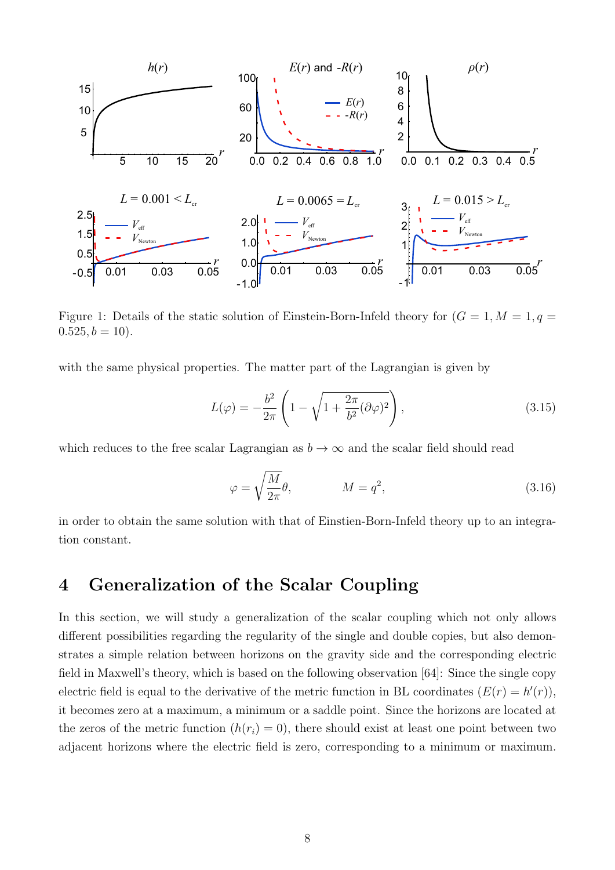

<span id="page-8-1"></span>Figure 1: Details of the static solution of Einstein-Born-Infeld theory for  $(G = 1, M = 1, q = 1)$  $0.525, b = 10$ .

with the same physical properties. The matter part of the Lagrangian is given by

$$
L(\varphi) = -\frac{b^2}{2\pi} \left( 1 - \sqrt{1 + \frac{2\pi}{b^2} (\partial \varphi)^2} \right),\tag{3.15}
$$

which reduces to the free scalar Lagrangian as  $b \to \infty$  and the scalar field should read

$$
\varphi = \sqrt{\frac{M}{2\pi}}\theta, \qquad \qquad M = q^2,\tag{3.16}
$$

in order to obtain the same solution with that of Einstien-Born-Infeld theory up to an integration constant.

#### <span id="page-8-0"></span>4 Generalization of the Scalar Coupling

In this section, we will study a generalization of the scalar coupling which not only allows different possibilities regarding the regularity of the single and double copies, but also demonstrates a simple relation between horizons on the gravity side and the corresponding electric field in Maxwell's theory, which is based on the following observation [\[64\]](#page-18-6): Since the single copy electric field is equal to the derivative of the metric function in BL coordinates  $(E(r) = h'(r))$ , it becomes zero at a maximum, a minimum or a saddle point. Since the horizons are located at the zeros of the metric function  $(h(r_i) = 0)$ , there should exist at least one point between two adjacent horizons where the electric field is zero, corresponding to a minimum or maximum.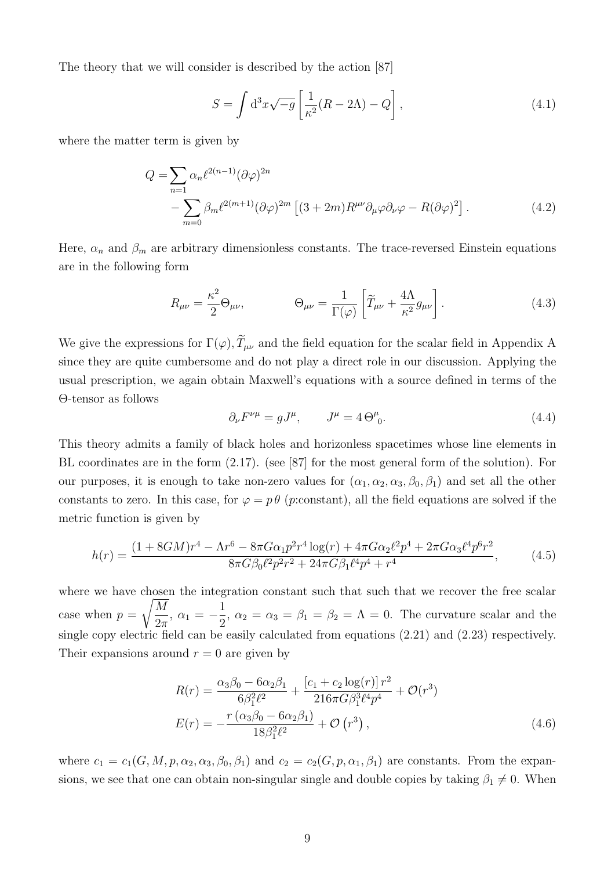The theory that we will consider is described by the action [\[87\]](#page-19-6)

$$
S = \int d^3x \sqrt{-g} \left[ \frac{1}{\kappa^2} (R - 2\Lambda) - Q \right],
$$
\n(4.1)

where the matter term is given by

$$
Q = \sum_{n=1}^{\infty} \alpha_n \ell^{2(n-1)} (\partial \varphi)^{2n}
$$
  
 
$$
- \sum_{m=0}^{\infty} \beta_m \ell^{2(m+1)} (\partial \varphi)^{2m} \left[ (3+2m) R^{\mu\nu} \partial_\mu \varphi \partial_\nu \varphi - R (\partial \varphi)^2 \right]. \tag{4.2}
$$

Here,  $\alpha_n$  and  $\beta_m$  are arbitrary dimensionless constants. The trace-reversed Einstein equations are in the following form

<span id="page-9-0"></span>
$$
R_{\mu\nu} = \frac{\kappa^2}{2} \Theta_{\mu\nu}, \qquad \Theta_{\mu\nu} = \frac{1}{\Gamma(\varphi)} \left[ \widetilde{T}_{\mu\nu} + \frac{4\Lambda}{\kappa^2} g_{\mu\nu} \right]. \tag{4.3}
$$

We give the expressions for  $\Gamma(\varphi), \widetilde{T}_{\mu\nu}$  and the field equation for the scalar field in [A](#page-14-0)ppendix A since they are quite cumbersome and do not play a direct role in our discussion. Applying the usual prescription, we again obtain Maxwell's equations with a source defined in terms of the Θ-tensor as follows

$$
\partial_{\nu}F^{\nu\mu} = gJ^{\mu}, \qquad J^{\mu} = 4\Theta^{\mu}_{0}.
$$
\n(4.4)

This theory admits a family of black holes and horizonless spacetimes whose line elements in BL coordinates are in the form [\(2.17\)](#page-4-0). (see [\[87\]](#page-19-6) for the most general form of the solution). For our purposes, it is enough to take non-zero values for  $(\alpha_1, \alpha_2, \alpha_3, \beta_0, \beta_1)$  and set all the other constants to zero. In this case, for  $\varphi = p \theta$  (p:constant), all the field equations are solved if the metric function is given by

$$
h(r) = \frac{(1 + 8GM)r^4 - \Lambda r^6 - 8\pi G\alpha_1 p^2 r^4 \log(r) + 4\pi G\alpha_2 \ell^2 p^4 + 2\pi G\alpha_3 \ell^4 p^6 r^2}{8\pi G\beta_0 \ell^2 p^2 r^2 + 24\pi G\beta_1 \ell^4 p^4 + r^4},
$$
(4.5)

where we have chosen the integration constant such that such that we recover the free scalar case when  $p =$  $\sqrt{M}$  $\frac{M}{2\pi}$ ,  $\alpha_1 = -\frac{1}{2}$  $\frac{1}{2}$ ,  $\alpha_2 = \alpha_3 = \beta_1 = \beta_2 = \Lambda = 0$ . The curvature scalar and the single copy electric field can be easily calculated from equations [\(2.21\)](#page-4-1) and [\(2.23\)](#page-4-2) respectively. Their expansions around  $r = 0$  are given by

$$
R(r) = \frac{\alpha_3 \beta_0 - 6\alpha_2 \beta_1}{6\beta_1^2 \ell^2} + \frac{\left[c_1 + c_2 \log(r)\right] r^2}{216\pi G \beta_1^3 \ell^4 p^4} + \mathcal{O}(r^3)
$$
  
\n
$$
E(r) = -\frac{r \left(\alpha_3 \beta_0 - 6\alpha_2 \beta_1\right)}{18\beta_1^2 \ell^2} + \mathcal{O}(r^3),
$$
\n(4.6)

where  $c_1 = c_1(G, M, p, \alpha_2, \alpha_3, \beta_0, \beta_1)$  and  $c_2 = c_2(G, p, \alpha_1, \beta_1)$  are constants. From the expansions, we see that one can obtain non-singular single and double copies by taking  $\beta_1 \neq 0$ . When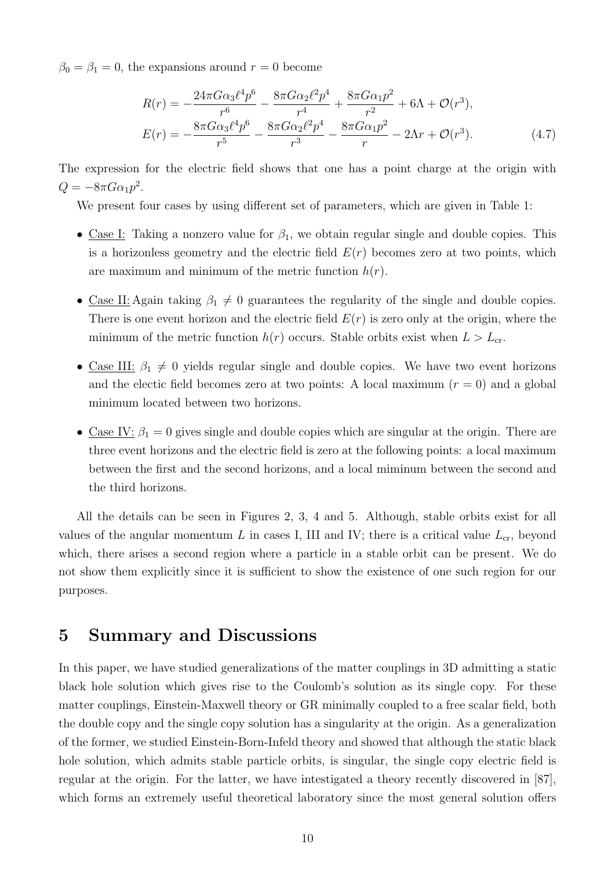$\beta_0 = \beta_1 = 0$ , the expansions around  $r = 0$  become

$$
R(r) = -\frac{24\pi G\alpha_3 \ell^4 p^6}{r^6} - \frac{8\pi G\alpha_2 \ell^2 p^4}{r^4} + \frac{8\pi G\alpha_1 p^2}{r^2} + 6\Lambda + \mathcal{O}(r^3),
$$
  
\n
$$
E(r) = -\frac{8\pi G\alpha_3 \ell^4 p^6}{r^5} - \frac{8\pi G\alpha_2 \ell^2 p^4}{r^3} - \frac{8\pi G\alpha_1 p^2}{r} - 2\Lambda r + \mathcal{O}(r^3).
$$
\n(4.7)

The expression for the electric field shows that one has a point charge at the origin with  $Q = -8\pi G \alpha_1 p^2$ .

We present four cases by using different set of parameters, which are given in Table [1:](#page-13-0)

- Case I: Taking a nonzero value for  $\beta_1$ , we obtain regular single and double copies. This is a horizonless geometry and the electric field  $E(r)$  becomes zero at two points, which are maximum and minimum of the metric function  $h(r)$ .
- Case II: Again taking  $\beta_1 \neq 0$  guarantees the regularity of the single and double copies. There is one event horizon and the electric field  $E(r)$  is zero only at the origin, where the minimum of the metric function  $h(r)$  occurs. Stable orbits exist when  $L > L_{cr}$ .
- Case III:  $\beta_1 \neq 0$  yields regular single and double copies. We have two event horizons and the electic field becomes zero at two points: A local maximum  $(r = 0)$  and a global minimum located between two horizons.
- Case IV:  $\beta_1 = 0$  gives single and double copies which are singular at the origin. There are three event horizons and the electric field is zero at the following points: a local maximum between the first and the second horizons, and a local miminum between the second and the third horizons.

All the details can be seen in Figures [2,](#page-11-0) [3,](#page-11-1) [4](#page-12-0) and [5.](#page-12-1) Although, stable orbits exist for all values of the angular momentum L in cases I, III and IV; there is a critical value  $L_{cr}$ , beyond which, there arises a second region where a particle in a stable orbit can be present. We do not show them explicitly since it is sufficient to show the existence of one such region for our purposes.

#### <span id="page-10-0"></span>5 Summary and Discussions

In this paper, we have studied generalizations of the matter couplings in 3D admitting a static black hole solution which gives rise to the Coulomb's solution as its single copy. For these matter couplings, Einstein-Maxwell theory or GR minimally coupled to a free scalar field, both the double copy and the single copy solution has a singularity at the origin. As a generalization of the former, we studied Einstein-Born-Infeld theory and showed that although the static black hole solution, which admits stable particle orbits, is singular, the single copy electric field is regular at the origin. For the latter, we have intestigated a theory recently discovered in [\[87\]](#page-19-6), which forms an extremely useful theoretical laboratory since the most general solution offers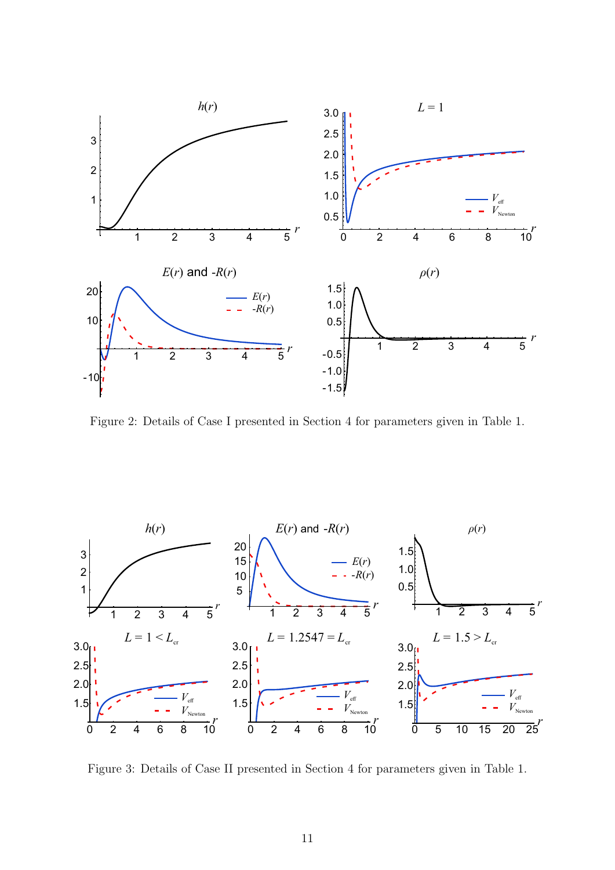

<span id="page-11-0"></span>Figure 2: Details of Case I presented in Section [4](#page-8-0) for parameters given in Table [1.](#page-13-0)



<span id="page-11-1"></span>Figure 3: Details of Case II presented in Section [4](#page-8-0) for parameters given in Table [1.](#page-13-0)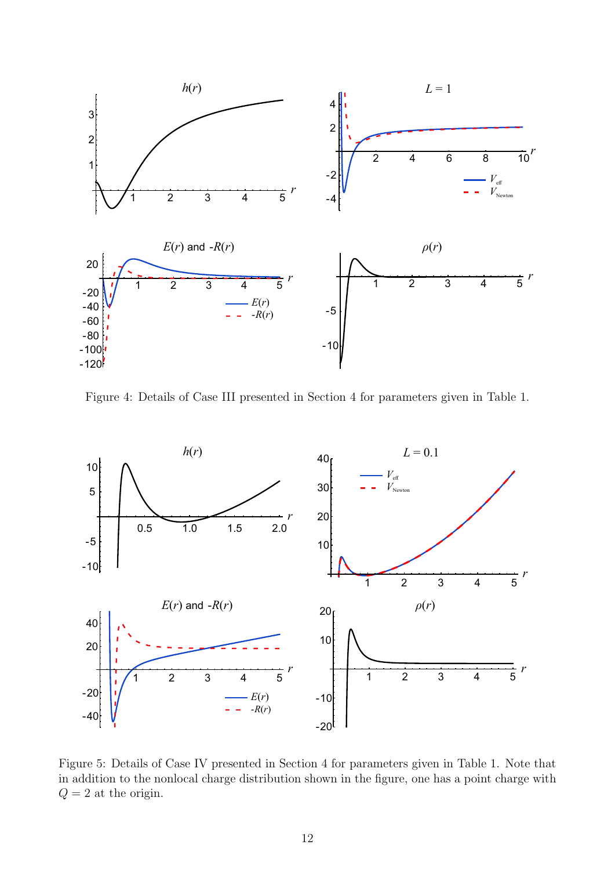

<span id="page-12-0"></span>Figure 4: Details of Case III presented in Section [4](#page-8-0) for parameters given in Table [1.](#page-13-0)



<span id="page-12-1"></span>Figure 5: Details of Case IV presented in Section [4](#page-8-0) for parameters given in Table [1.](#page-13-0) Note that in addition to the nonlocal charge distribution shown in the figure, one has a point charge with  $Q = 2$  at the origin.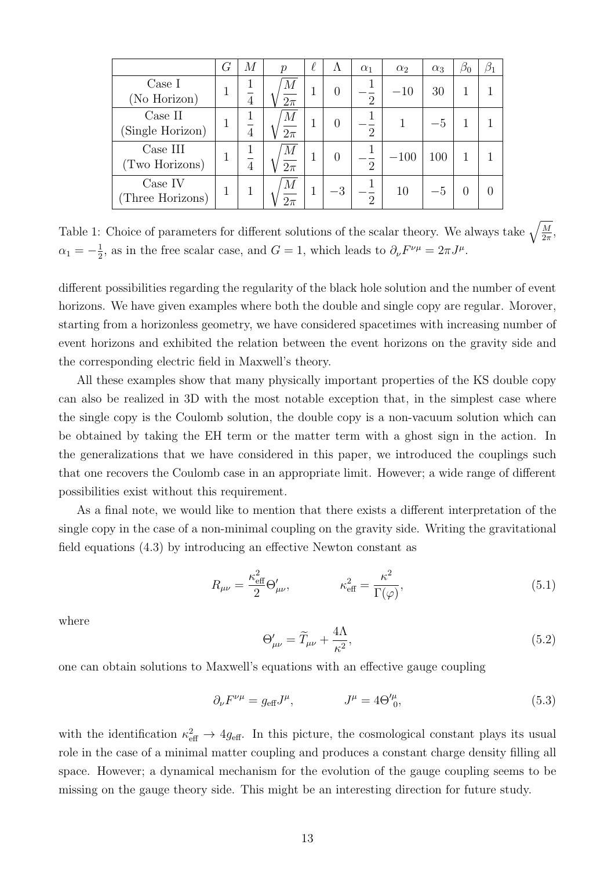|                             | G | М | $\mathcal{p}$            | $\ell$ | Λ                | $\alpha_1$     | $\alpha_2$ | $\alpha_3$ | $\beta_0$ | $\beta_1$ |
|-----------------------------|---|---|--------------------------|--------|------------------|----------------|------------|------------|-----------|-----------|
| Case I<br>(No Horizon)      |   | 4 | $\,M$<br>$2\pi$          |        | $\left( \right)$ | $\overline{2}$ | $-10$      | 30         |           |           |
| Case II<br>(Single Horizon) |   | 4 | $\,M$<br>$2\pi$          |        | $\left( \right)$ | $\overline{2}$ |            |            |           |           |
| Case III<br>(Two Horizons)  |   | 4 | $\,M$<br>$2\pi$          | 1      | $\left( \right)$ | $\overline{2}$ | $-100$     | 100        |           |           |
| Case IV<br>(Three Horizons) |   |   | $\overline{M}$<br>$2\pi$ |        | $-3$ $^{\circ}$  | $\overline{2}$ | 10         | $-5$       |           |           |

<span id="page-13-0"></span>Table 1: Choice of parameters for different solutions of the scalar theory. We always take  $\sqrt{\frac{M}{2\pi}}$  $\frac{M}{2\pi}$ ,  $\alpha_1 = -\frac{1}{2}$  $\frac{1}{2}$ , as in the free scalar case, and  $G = 1$ , which leads to  $\partial_{\nu}F^{\nu\mu} = 2\pi J^{\mu}$ .

different possibilities regarding the regularity of the black hole solution and the number of event horizons. We have given examples where both the double and single copy are regular. Morover, starting from a horizonless geometry, we have considered spacetimes with increasing number of event horizons and exhibited the relation between the event horizons on the gravity side and the corresponding electric field in Maxwell's theory.

All these examples show that many physically important properties of the KS double copy can also be realized in 3D with the most notable exception that, in the simplest case where the single copy is the Coulomb solution, the double copy is a non-vacuum solution which can be obtained by taking the EH term or the matter term with a ghost sign in the action. In the generalizations that we have considered in this paper, we introduced the couplings such that one recovers the Coulomb case in an appropriate limit. However; a wide range of different possibilities exist without this requirement.

As a final note, we would like to mention that there exists a different interpretation of the single copy in the case of a non-minimal coupling on the gravity side. Writing the gravitational field equations [\(4.3\)](#page-9-0) by introducing an effective Newton constant as

$$
R_{\mu\nu} = \frac{\kappa_{\text{eff}}^2}{2} \Theta'_{\mu\nu}, \qquad \kappa_{\text{eff}}^2 = \frac{\kappa^2}{\Gamma(\varphi)}, \qquad (5.1)
$$

where

$$
\Theta_{\mu\nu}^{\prime} = \widetilde{T}_{\mu\nu} + \frac{4\Lambda}{\kappa^2},\tag{5.2}
$$

one can obtain solutions to Maxwell's equations with an effective gauge coupling

$$
\partial_{\nu}F^{\nu\mu} = g_{\text{eff}}J^{\mu}, \qquad J^{\mu} = 4\Theta^{\prime\mu}_{0}, \qquad (5.3)
$$

with the identification  $\kappa_{\text{eff}}^2 \rightarrow 4g_{\text{eff}}$ . In this picture, the cosmological constant plays its usual role in the case of a minimal matter coupling and produces a constant charge density filling all space. However; a dynamical mechanism for the evolution of the gauge coupling seems to be missing on the gauge theory side. This might be an interesting direction for future study.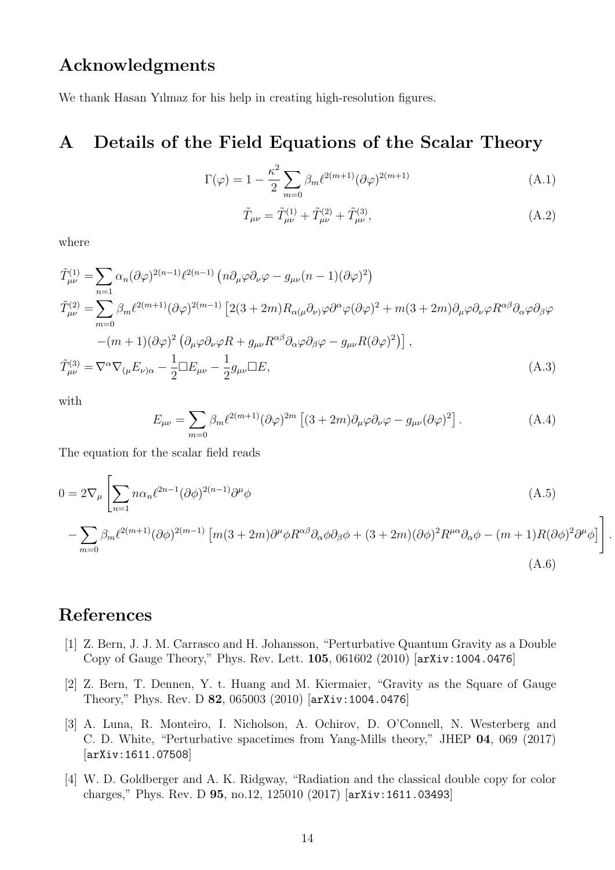#### Acknowledgments

We thank Hasan Yılmaz for his help in creating high-resolution figures.

#### <span id="page-14-0"></span>A Details of the Field Equations of the Scalar Theory

$$
\Gamma(\varphi) = 1 - \frac{\kappa^2}{2} \sum_{m=0} \beta_m \ell^{2(m+1)} (\partial \varphi)^{2(m+1)}
$$
\n(A.1)

$$
\tilde{T}_{\mu\nu} = \tilde{T}^{(1)}_{\mu\nu} + \tilde{T}^{(2)}_{\mu\nu} + \tilde{T}^{(3)}_{\mu\nu},\tag{A.2}
$$

.

where

$$
\tilde{T}^{(1)}_{\mu\nu} = \sum_{n=1} \alpha_n (\partial \varphi)^{2(n-1)} \ell^{2(n-1)} \left( n \partial_\mu \varphi \partial_\nu \varphi - g_{\mu\nu} (n-1) (\partial \varphi)^2 \right)
$$
\n
$$
\tilde{T}^{(2)}_{\mu\nu} = \sum_{m=0} \beta_m \ell^{2(m+1)} (\partial \varphi)^{2(m-1)} \left[ 2(3+2m) R_{\alpha(\mu} \partial_\nu) \varphi \partial^\alpha \varphi (\partial \varphi)^2 + m(3+2m) \partial_\mu \varphi \partial_\nu \varphi R^{\alpha\beta} \partial_\alpha \varphi \partial_\beta \varphi \right.
$$
\n
$$
-(m+1) (\partial \varphi)^2 \left( \partial_\mu \varphi \partial_\nu \varphi R + g_{\mu\nu} R^{\alpha\beta} \partial_\alpha \varphi \partial_\beta \varphi - g_{\mu\nu} R (\partial \varphi)^2 \right) \right],
$$
\n
$$
\tilde{T}^{(3)}_{\mu\nu} = \nabla^\alpha \nabla_{(\mu} E_{\nu)\alpha} - \frac{1}{2} \Box E_{\mu\nu} - \frac{1}{2} g_{\mu\nu} \Box E,
$$
\n(A.3)

with

$$
E_{\mu\nu} = \sum_{m=0} \beta_m \ell^{2(m+1)} (\partial \varphi)^{2m} \left[ (3+2m) \partial_\mu \varphi \partial_\nu \varphi - g_{\mu\nu} (\partial \varphi)^2 \right]. \tag{A.4}
$$

The equation for the scalar field reads

$$
0 = 2\nabla_{\mu} \left[ \sum_{n=1} n \alpha_n \ell^{2n-1} (\partial \phi)^{2(n-1)} \partial^{\mu} \phi \right]
$$
\n
$$
- \sum_{m=0} \beta_m \ell^{2(m+1)} (\partial \phi)^{2(m-1)} \left[ m(3+2m) \partial^{\mu} \phi R^{\alpha \beta} \partial_{\alpha} \phi \partial_{\beta} \phi + (3+2m) (\partial \phi)^2 R^{\mu \alpha} \partial_{\alpha} \phi - (m+1) R (\partial \phi)^2 \partial^{\mu} \phi \right] \right]
$$
\n(A.6)

#### <span id="page-14-1"></span>References

- <span id="page-14-2"></span>[1] Z. Bern, J. J. M. Carrasco and H. Johansson, "Perturbative Quantum Gravity as a Double Copy of Gauge Theory," Phys. Rev. Lett. 105, 061602 (2010) [[arXiv:1004.0476](http://arxiv.org/abs/1004.0476)]
- <span id="page-14-3"></span>[2] Z. Bern, T. Dennen, Y. t. Huang and M. Kiermaier, "Gravity as the Square of Gauge Theory," Phys. Rev. D 82, 065003 (2010) [[arXiv:1004.0476](http://arxiv.org/abs/1004.0476)]
- <span id="page-14-4"></span>[3] A. Luna, R. Monteiro, I. Nicholson, A. Ochirov, D. O'Connell, N. Westerberg and C. D. White, "Perturbative spacetimes from Yang-Mills theory," JHEP 04, 069 (2017) [[arXiv:1611.07508](http://arxiv.org/abs/1611.07508)]
- [4] W. D. Goldberger and A. K. Ridgway, "Radiation and the classical double copy for color charges," Phys. Rev. D 95, no.12, 125010 (2017) [[arXiv:1611.03493](http://arxiv.org/abs/1611.03493)]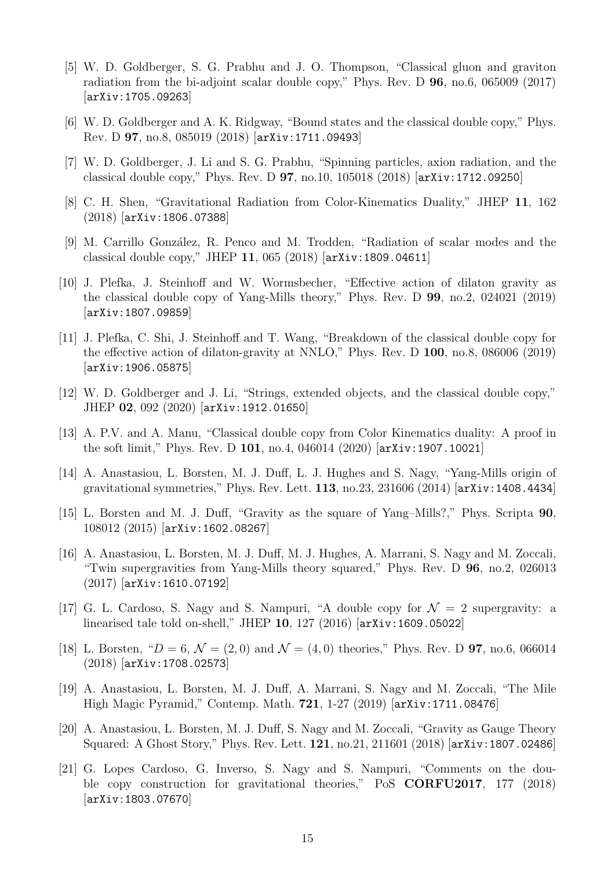- [5] W. D. Goldberger, S. G. Prabhu and J. O. Thompson, "Classical gluon and graviton radiation from the bi-adjoint scalar double copy," Phys. Rev. D 96, no.6, 065009 (2017) [[arXiv:1705.09263](http://arxiv.org/abs/1705.09263)]
- [6] W. D. Goldberger and A. K. Ridgway, "Bound states and the classical double copy," Phys. Rev. D 97, no.8, 085019 (2018) [[arXiv:1711.09493](http://arxiv.org/abs/1711.09493)]
- [7] W. D. Goldberger, J. Li and S. G. Prabhu, "Spinning particles, axion radiation, and the classical double copy," Phys. Rev. D 97, no.10, 105018 (2018) [[arXiv:1712.09250](http://arxiv.org/abs/1712.09250)]
- [8] C. H. Shen, "Gravitational Radiation from Color-Kinematics Duality," JHEP 11, 162 (2018) [[arXiv:1806.07388](http://arxiv.org/abs/1806.07388)]
- [9] M. Carrillo González, R. Penco and M. Trodden, "Radiation of scalar modes and the classical double copy," JHEP 11, 065 (2018) [[arXiv:1809.04611](http://arxiv.org/abs/1809.04611)]
- [10] J. Plefka, J. Steinhoff and W. Wormsbecher, "Effective action of dilaton gravity as the classical double copy of Yang-Mills theory," Phys. Rev. D 99, no.2, 024021 (2019) [[arXiv:1807.09859](http://arxiv.org/abs/1807.09859)]
- [11] J. Plefka, C. Shi, J. Steinhoff and T. Wang, "Breakdown of the classical double copy for the effective action of dilaton-gravity at NNLO," Phys. Rev. D 100, no.8, 086006 (2019) [[arXiv:1906.05875](http://arxiv.org/abs/1906.05875)]
- [12] W. D. Goldberger and J. Li, "Strings, extended objects, and the classical double copy," JHEP 02, 092 (2020) [[arXiv:1912.01650](http://arxiv.org/abs/1912.01650)]
- [13] A. P.V. and A. Manu, "Classical double copy from Color Kinematics duality: A proof in the soft limit," Phys. Rev. D 101, no.4, 046014 (2020) [[arXiv:1907.10021](http://arxiv.org/abs/1907.10021)]
- [14] A. Anastasiou, L. Borsten, M. J. Duff, L. J. Hughes and S. Nagy, "Yang-Mills origin of gravitational symmetries," Phys. Rev. Lett. 113, no.23, 231606 (2014) [[arXiv:1408.4434](http://arxiv.org/abs/1408.4434)]
- [15] L. Borsten and M. J. Duff, "Gravity as the square of Yang–Mills?," Phys. Scripta 90, 108012 (2015) [[arXiv:1602.08267](http://arxiv.org/abs/1602.08267)]
- [16] A. Anastasiou, L. Borsten, M. J. Duff, M. J. Hughes, A. Marrani, S. Nagy and M. Zoccali, "Twin supergravities from Yang-Mills theory squared," Phys. Rev. D 96, no.2, 026013 (2017) [[arXiv:1610.07192](http://arxiv.org/abs/1610.07192)]
- [17] G. L. Cardoso, S. Nagy and S. Nampuri, "A double copy for  $\mathcal{N}=2$  supergravity: a linearised tale told on-shell," JHEP 10, 127 (2016) [[arXiv:1609.05022](http://arxiv.org/abs/1609.05022)]
- [18] L. Borsten, " $D = 6$ ,  $\mathcal{N} = (2, 0)$  and  $\mathcal{N} = (4, 0)$  theories," Phys. Rev. D **97**, no.6, 066014 (2018) [[arXiv:1708.02573](http://arxiv.org/abs/1708.02573)]
- [19] A. Anastasiou, L. Borsten, M. J. Duff, A. Marrani, S. Nagy and M. Zoccali, "The Mile High Magic Pyramid," Contemp. Math. 721, 1-27 (2019) [[arXiv:1711.08476](http://arxiv.org/abs/1711.08476)]
- [20] A. Anastasiou, L. Borsten, M. J. Duff, S. Nagy and M. Zoccali, "Gravity as Gauge Theory Squared: A Ghost Story," Phys. Rev. Lett. 121, no.21, 211601 (2018) [[arXiv:1807.02486](http://arxiv.org/abs/1807.02486)]
- [21] G. Lopes Cardoso, G. Inverso, S. Nagy and S. Nampuri, "Comments on the double copy construction for gravitational theories," PoS CORFU2017, 177 (2018) [[arXiv:1803.07670](http://arxiv.org/abs/1803.07670)]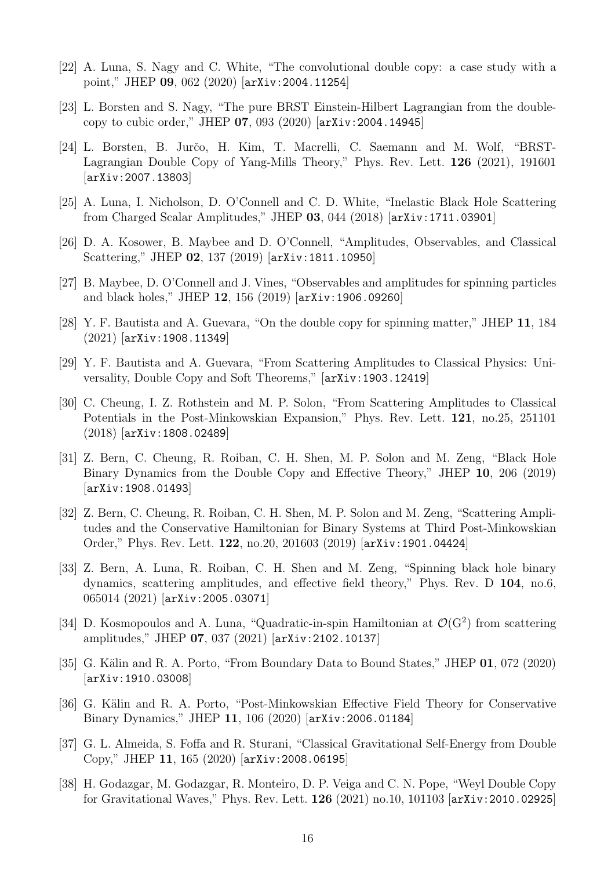- [22] A. Luna, S. Nagy and C. White, "The convolutional double copy: a case study with a point," JHEP 09, 062 (2020) [[arXiv:2004.11254](http://arxiv.org/abs/2004.11254)]
- [23] L. Borsten and S. Nagy, "The pure BRST Einstein-Hilbert Lagrangian from the doublecopy to cubic order," JHEP 07, 093 (2020) [[arXiv:2004.14945](http://arxiv.org/abs/2004.14945)]
- [24] L. Borsten, B. Jurčo, H. Kim, T. Macrelli, C. Saemann and M. Wolf, "BRST-Lagrangian Double Copy of Yang-Mills Theory," Phys. Rev. Lett. 126 (2021), 191601 [[arXiv:2007.13803](http://arxiv.org/abs/2007.13803)]
- [25] A. Luna, I. Nicholson, D. O'Connell and C. D. White, "Inelastic Black Hole Scattering from Charged Scalar Amplitudes," JHEP 03, 044 (2018) [[arXiv:1711.03901](http://arxiv.org/abs/1711.03901)]
- [26] D. A. Kosower, B. Maybee and D. O'Connell, "Amplitudes, Observables, and Classical Scattering," JHEP 02, 137 (2019) [[arXiv:1811.10950](http://arxiv.org/abs/1811.10950)]
- [27] B. Maybee, D. O'Connell and J. Vines, "Observables and amplitudes for spinning particles and black holes," JHEP 12, 156 (2019) [[arXiv:1906.09260](http://arxiv.org/abs/1906.09260)]
- [28] Y. F. Bautista and A. Guevara, "On the double copy for spinning matter," JHEP 11, 184 (2021) [[arXiv:1908.11349](http://arxiv.org/abs/1908.11349)]
- [29] Y. F. Bautista and A. Guevara, "From Scattering Amplitudes to Classical Physics: Universality, Double Copy and Soft Theorems," [[arXiv:1903.12419](http://arxiv.org/abs/1903.12419)]
- [30] C. Cheung, I. Z. Rothstein and M. P. Solon, "From Scattering Amplitudes to Classical Potentials in the Post-Minkowskian Expansion," Phys. Rev. Lett. 121, no.25, 251101 (2018) [[arXiv:1808.02489](http://arxiv.org/abs/1808.02489)]
- [31] Z. Bern, C. Cheung, R. Roiban, C. H. Shen, M. P. Solon and M. Zeng, "Black Hole Binary Dynamics from the Double Copy and Effective Theory," JHEP 10, 206 (2019) [[arXiv:1908.01493](http://arxiv.org/abs/1908.01493)]
- [32] Z. Bern, C. Cheung, R. Roiban, C. H. Shen, M. P. Solon and M. Zeng, "Scattering Amplitudes and the Conservative Hamiltonian for Binary Systems at Third Post-Minkowskian Order," Phys. Rev. Lett. 122, no.20, 201603 (2019) [[arXiv:1901.04424](http://arxiv.org/abs/1901.04424)]
- [33] Z. Bern, A. Luna, R. Roiban, C. H. Shen and M. Zeng, "Spinning black hole binary dynamics, scattering amplitudes, and effective field theory," Phys. Rev. D 104, no.6, 065014 (2021) [[arXiv:2005.03071](http://arxiv.org/abs/2005.03071)]
- [34] D. Kosmopoulos and A. Luna, "Quadratic-in-spin Hamiltonian at  $\mathcal{O}(G^2)$  from scattering amplitudes," JHEP 07, 037 (2021) [[arXiv:2102.10137](http://arxiv.org/abs/2102.10137)]
- [35] G. Kälin and R. A. Porto, "From Boundary Data to Bound States," JHEP 01, 072 (2020) [[arXiv:1910.03008](http://arxiv.org/abs/1910.03008)]
- [36] G. Kälin and R. A. Porto, "Post-Minkowskian Effective Field Theory for Conservative Binary Dynamics," JHEP 11, 106 (2020) [[arXiv:2006.01184](http://arxiv.org/abs/2006.01184)]
- [37] G. L. Almeida, S. Foffa and R. Sturani, "Classical Gravitational Self-Energy from Double Copy," JHEP 11, 165 (2020) [[arXiv:2008.06195](http://arxiv.org/abs/2008.06195)]
- [38] H. Godazgar, M. Godazgar, R. Monteiro, D. P. Veiga and C. N. Pope, "Weyl Double Copy for Gravitational Waves," Phys. Rev. Lett. 126 (2021) no.10, 101103 [[arXiv:2010.02925](http://arxiv.org/abs/2010.02925)]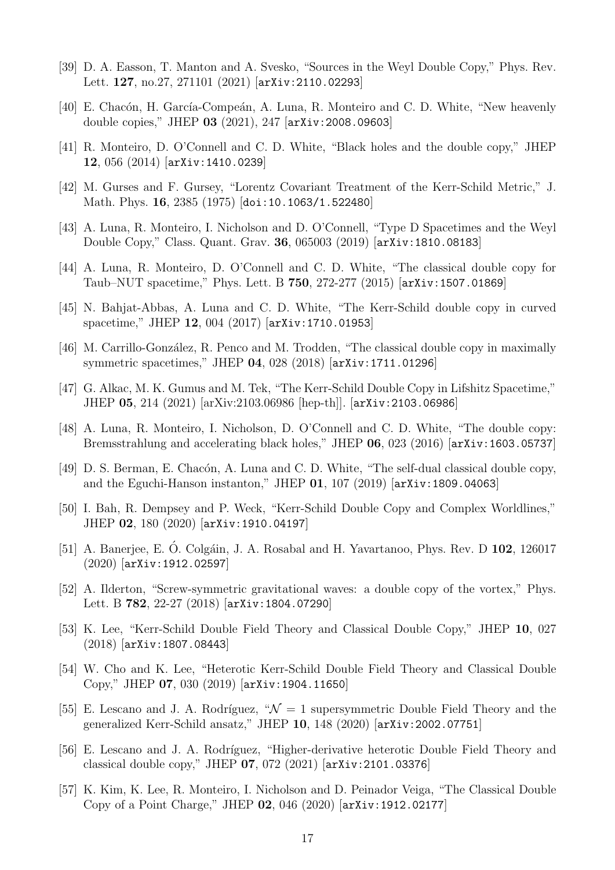- [39] D. A. Easson, T. Manton and A. Svesko, "Sources in the Weyl Double Copy," Phys. Rev. Lett. 127, no.27, 271101 (2021) [[arXiv:2110.02293](http://arxiv.org/abs/2110.02293)]
- <span id="page-17-0"></span>[40] E. Chacón, H. García-Compeán, A. Luna, R. Monteiro and C. D. White, "New heavenly double copies," JHEP 03 (2021), 247 [[arXiv:2008.09603](http://arxiv.org/abs/2008.09603)]
- <span id="page-17-1"></span>[41] R. Monteiro, D. O'Connell and C. D. White, "Black holes and the double copy," JHEP 12, 056 (2014) [[arXiv:1410.0239](http://arxiv.org/abs/1410.0239)]
- <span id="page-17-2"></span>[42] M. Gurses and F. Gursey, "Lorentz Covariant Treatment of the Kerr-Schild Metric," J. Math. Phys. 16, 2385 (1975) [[doi:10.1063/1.522480](http://doi.org/10.1063/1.522480)]
- <span id="page-17-3"></span>[43] A. Luna, R. Monteiro, I. Nicholson and D. O'Connell, "Type D Spacetimes and the Weyl Double Copy," Class. Quant. Grav. 36, 065003 (2019) [[arXiv:1810.08183](http://arxiv.org/abs/1810.08183)]
- <span id="page-17-4"></span>[44] A. Luna, R. Monteiro, D. O'Connell and C. D. White, "The classical double copy for Taub–NUT spacetime," Phys. Lett. B 750, 272-277 (2015) [[arXiv:1507.01869](http://arxiv.org/abs/1507.01869)]
- [45] N. Bahjat-Abbas, A. Luna and C. D. White, "The Kerr-Schild double copy in curved spacetime," JHEP 12, 004 (2017) [[arXiv:1710.01953](http://arxiv.org/abs/1710.01953)]
- [46] M. Carrillo-González, R. Penco and M. Trodden, "The classical double copy in maximally symmetric spacetimes," JHEP 04, 028 (2018) [[arXiv:1711.01296](http://arxiv.org/abs/1711.01296)]
- [47] G. Alkac, M. K. Gumus and M. Tek, "The Kerr-Schild Double Copy in Lifshitz Spacetime," JHEP 05, 214 (2021) [arXiv:2103.06986 [hep-th]]. [[arXiv:2103.06986](http://arxiv.org/abs/2103.06986)]
- [48] A. Luna, R. Monteiro, I. Nicholson, D. O'Connell and C. D. White, "The double copy: Bremsstrahlung and accelerating black holes," JHEP 06, 023 (2016) [[arXiv:1603.05737](http://arxiv.org/abs/1603.05737)]
- [49] D. S. Berman, E. Chacón, A. Luna and C. D. White, "The self-dual classical double copy, and the Eguchi-Hanson instanton," JHEP  $01$ , 107 (2019)  $\left[ \arxiv:1809.04063 \right]$
- [50] I. Bah, R. Dempsey and P. Weck, "Kerr-Schild Double Copy and Complex Worldlines," JHEP 02, 180 (2020) [[arXiv:1910.04197](http://arxiv.org/abs/1910.04197)]
- [51] A. Banerjee, E. Ó. Colgáin, J. A. Rosabal and H. Yavartanoo, Phys. Rev. D 102, 126017 (2020) [[arXiv:1912.02597](http://arxiv.org/abs/1912.02597)]
- [52] A. Ilderton, "Screw-symmetric gravitational waves: a double copy of the vortex," Phys. Lett. B 782, 22-27 (2018) [[arXiv:1804.07290](http://arxiv.org/abs/1804.07290)]
- [53] K. Lee, "Kerr-Schild Double Field Theory and Classical Double Copy," JHEP 10, 027 (2018) [[arXiv:1807.08443](http://arxiv.org/abs/1807.08443)]
- [54] W. Cho and K. Lee, "Heterotic Kerr-Schild Double Field Theory and Classical Double Copy," JHEP 07, 030 (2019) [[arXiv:1904.11650](http://arxiv.org/abs/1904.11650)]
- [55] E. Lescano and J. A. Rodríguez, " $\mathcal{N} = 1$  supersymmetric Double Field Theory and the generalized Kerr-Schild ansatz," JHEP 10, 148 (2020) [[arXiv:2002.07751](http://arxiv.org/abs/2002.07751)]
- [56] E. Lescano and J. A. Rodríguez, "Higher-derivative heterotic Double Field Theory and classical double copy," JHEP 07, 072 (2021) [[arXiv:2101.03376](http://arxiv.org/abs/2101.03376)]
- [57] K. Kim, K. Lee, R. Monteiro, I. Nicholson and D. Peinador Veiga, "The Classical Double Copy of a Point Charge," JHEP 02, 046 (2020) [[arXiv:1912.02177](http://arxiv.org/abs/1912.02177)]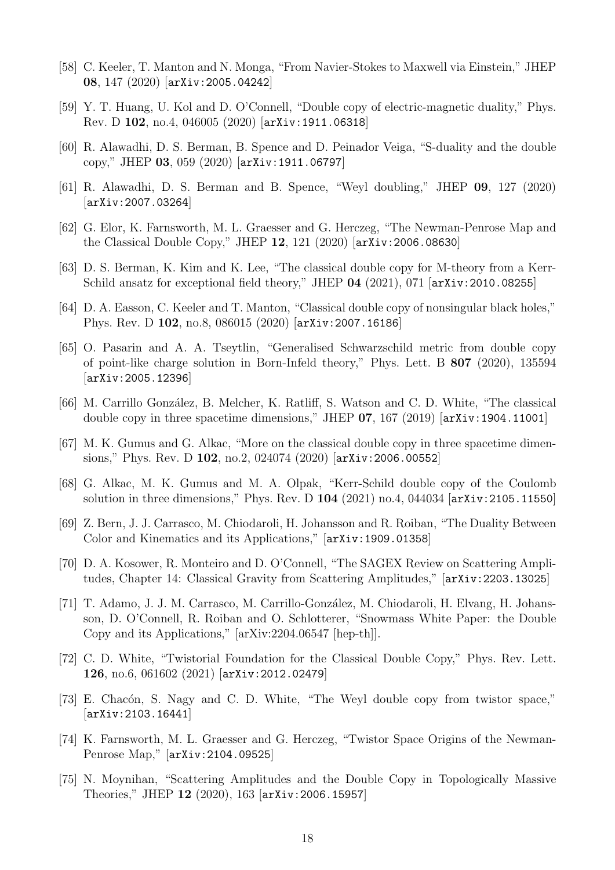- [58] C. Keeler, T. Manton and N. Monga, "From Navier-Stokes to Maxwell via Einstein," JHEP 08, 147 (2020) [[arXiv:2005.04242](http://arxiv.org/abs/2005.04242)]
- [59] Y. T. Huang, U. Kol and D. O'Connell, "Double copy of electric-magnetic duality," Phys. Rev. D 102, no.4, 046005 (2020) [[arXiv:1911.06318](http://arxiv.org/abs/1911.06318)]
- [60] R. Alawadhi, D. S. Berman, B. Spence and D. Peinador Veiga, "S-duality and the double copy," JHEP 03, 059 (2020) [[arXiv:1911.06797](http://arxiv.org/abs/1911.06797)]
- [61] R. Alawadhi, D. S. Berman and B. Spence, "Weyl doubling," JHEP 09, 127 (2020) [[arXiv:2007.03264](http://arxiv.org/abs/2007.03264)]
- [62] G. Elor, K. Farnsworth, M. L. Graesser and G. Herczeg, "The Newman-Penrose Map and the Classical Double Copy," JHEP 12, 121 (2020) [[arXiv:2006.08630](http://arxiv.org/abs/2006.08630)]
- [63] D. S. Berman, K. Kim and K. Lee, "The classical double copy for M-theory from a Kerr-Schild ansatz for exceptional field theory," JHEP 04 (2021), 071 [arXiv: 2010.08255]
- <span id="page-18-6"></span>[64] D. A. Easson, C. Keeler and T. Manton, "Classical double copy of nonsingular black holes," Phys. Rev. D 102, no.8, 086015 (2020) [[arXiv:2007.16186](http://arxiv.org/abs/2007.16186)]
- <span id="page-18-8"></span>[65] O. Pasarin and A. A. Tseytlin, "Generalised Schwarzschild metric from double copy of point-like charge solution in Born-Infeld theory," Phys. Lett. B 807 (2020), 135594 [[arXiv:2005.12396](http://arxiv.org/abs/2005.12396)]
- <span id="page-18-5"></span>[66] M. Carrillo González, B. Melcher, K. Ratliff, S. Watson and C. D. White, "The classical double copy in three spacetime dimensions," JHEP  $07$ , 167 (2019)  $\left[ \ar{\text{Xiv}}:1904.11001 \right]$
- [67] M. K. Gumus and G. Alkac, "More on the classical double copy in three spacetime dimensions," Phys. Rev. D 102, no.2, 024074 (2020) [[arXiv:2006.00552](http://arxiv.org/abs/2006.00552)]
- <span id="page-18-0"></span>[68] G. Alkac, M. K. Gumus and M. A. Olpak, "Kerr-Schild double copy of the Coulomb solution in three dimensions," Phys. Rev. D 104 (2021) no.4, 044034 [[arXiv:2105.11550](http://arxiv.org/abs/2105.11550)]
- <span id="page-18-1"></span>[69] Z. Bern, J. J. Carrasco, M. Chiodaroli, H. Johansson and R. Roiban, "The Duality Between Color and Kinematics and its Applications," [[arXiv:1909.01358](http://arxiv.org/abs/1909.01358)]
- [70] D. A. Kosower, R. Monteiro and D. O'Connell, "The SAGEX Review on Scattering Amplitudes, Chapter 14: Classical Gravity from Scattering Amplitudes," [[arXiv:2203.13025](http://arxiv.org/abs/2203.13025)]
- <span id="page-18-2"></span>[71] T. Adamo, J. J. M. Carrasco, M. Carrillo-González, M. Chiodaroli, H. Elvang, H. Johansson, D. O'Connell, R. Roiban and O. Schlotterer, "Snowmass White Paper: the Double Copy and its Applications," [arXiv:2204.06547 [hep-th]].
- <span id="page-18-3"></span>[72] C. D. White, "Twistorial Foundation for the Classical Double Copy," Phys. Rev. Lett. 126, no.6, 061602 (2021) [[arXiv:2012.02479](http://arxiv.org/abs/2012.02479)]
- [73] E. Chacón, S. Nagy and C. D. White, "The Weyl double copy from twistor space," [[arXiv:2103.16441](http://arxiv.org/abs/2103.16441)]
- <span id="page-18-4"></span>[74] K. Farnsworth, M. L. Graesser and G. Herczeg, "Twistor Space Origins of the Newman-Penrose Map," [[arXiv:2104.09525](http://arxiv.org/abs/2104.09525)]
- <span id="page-18-7"></span>[75] N. Moynihan, "Scattering Amplitudes and the Double Copy in Topologically Massive Theories," JHEP 12 (2020), 163 [[arXiv:2006.15957](http://arxiv.org/abs/2006.15957)]